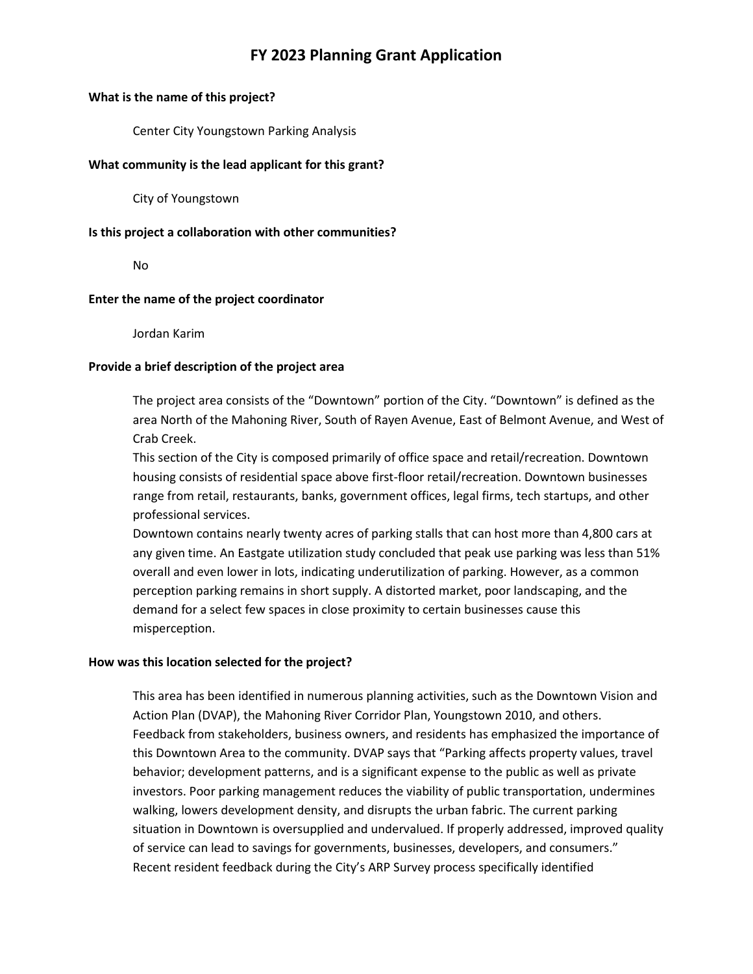# **FY 2023 Planning Grant Application**

#### **What is the name of this project?**

Center City Youngstown Parking Analysis

#### **What community is the lead applicant for this grant?**

City of Youngstown

#### **Is this project a collaboration with other communities?**

No

#### **Enter the name of the project coordinator**

Jordan Karim

#### **Provide a brief description of the project area**

The project area consists of the "Downtown" portion of the City. "Downtown" is defined as the area North of the Mahoning River, South of Rayen Avenue, East of Belmont Avenue, and West of Crab Creek.

This section of the City is composed primarily of office space and retail/recreation. Downtown housing consists of residential space above first-floor retail/recreation. Downtown businesses range from retail, restaurants, banks, government offices, legal firms, tech startups, and other professional services.

Downtown contains nearly twenty acres of parking stalls that can host more than 4,800 cars at any given time. An Eastgate utilization study concluded that peak use parking was less than 51% overall and even lower in lots, indicating underutilization of parking. However, as a common perception parking remains in short supply. A distorted market, poor landscaping, and the demand for a select few spaces in close proximity to certain businesses cause this misperception.

#### **How was this location selected for the project?**

This area has been identified in numerous planning activities, such as the Downtown Vision and Action Plan (DVAP), the Mahoning River Corridor Plan, Youngstown 2010, and others. Feedback from stakeholders, business owners, and residents has emphasized the importance of this Downtown Area to the community. DVAP says that "Parking affects property values, travel behavior; development patterns, and is a significant expense to the public as well as private investors. Poor parking management reduces the viability of public transportation, undermines walking, lowers development density, and disrupts the urban fabric. The current parking situation in Downtown is oversupplied and undervalued. If properly addressed, improved quality of service can lead to savings for governments, businesses, developers, and consumers." Recent resident feedback during the City's ARP Survey process specifically identified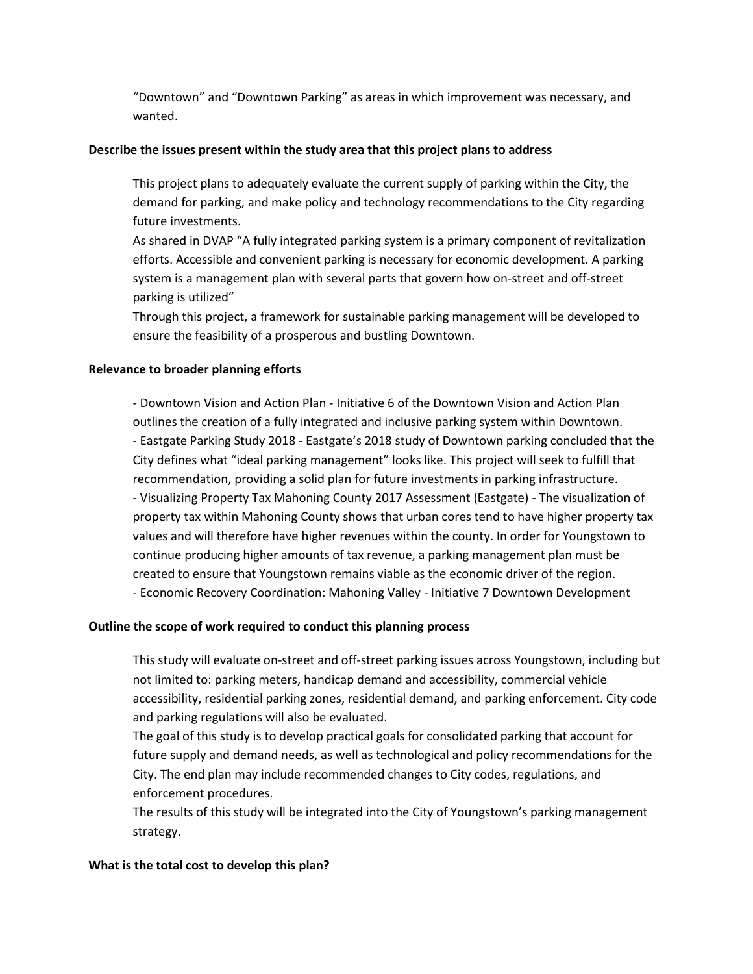"Downtown" and "Downtown Parking" as areas in which improvement was necessary, and wanted.

#### **Describe the issues present within the study area that this project plans to address**

This project plans to adequately evaluate the current supply of parking within the City, the demand for parking, and make policy and technology recommendations to the City regarding future investments.

As shared in DVAP "A fully integrated parking system is a primary component of revitalization efforts. Accessible and convenient parking is necessary for economic development. A parking system is a management plan with several parts that govern how on-street and off-street parking is utilized"

Through this project, a framework for sustainable parking management will be developed to ensure the feasibility of a prosperous and bustling Downtown.

#### **Relevance to broader planning efforts**

- Downtown Vision and Action Plan - Initiative 6 of the Downtown Vision and Action Plan outlines the creation of a fully integrated and inclusive parking system within Downtown. - Eastgate Parking Study 2018 - Eastgate's 2018 study of Downtown parking concluded that the City defines what "ideal parking management" looks like. This project will seek to fulfill that recommendation, providing a solid plan for future investments in parking infrastructure. - Visualizing Property Tax Mahoning County 2017 Assessment (Eastgate) - The visualization of property tax within Mahoning County shows that urban cores tend to have higher property tax values and will therefore have higher revenues within the county. In order for Youngstown to continue producing higher amounts of tax revenue, a parking management plan must be created to ensure that Youngstown remains viable as the economic driver of the region. - Economic Recovery Coordination: Mahoning Valley - Initiative 7 Downtown Development

#### **Outline the scope of work required to conduct this planning process**

This study will evaluate on-street and off-street parking issues across Youngstown, including but not limited to: parking meters, handicap demand and accessibility, commercial vehicle accessibility, residential parking zones, residential demand, and parking enforcement. City code and parking regulations will also be evaluated.

The goal of this study is to develop practical goals for consolidated parking that account for future supply and demand needs, as well as technological and policy recommendations for the City. The end plan may include recommended changes to City codes, regulations, and enforcement procedures.

The results of this study will be integrated into the City of Youngstown's parking management strategy.

#### **What is the total cost to develop this plan?**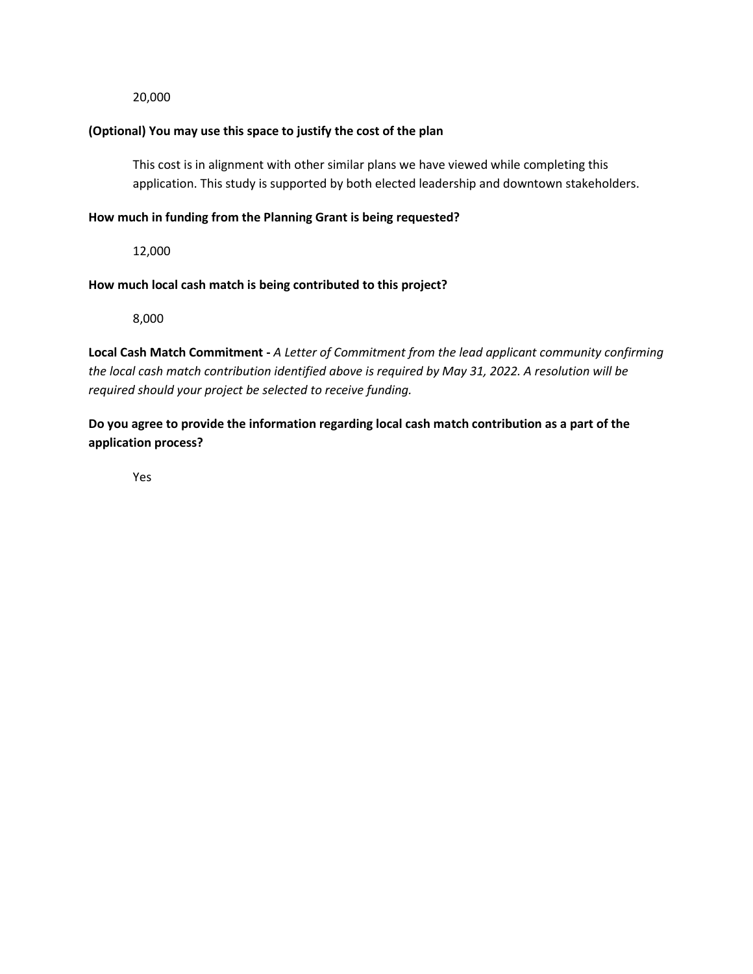20,000

#### **(Optional) You may use this space to justify the cost of the plan**

This cost is in alignment with other similar plans we have viewed while completing this application. This study is supported by both elected leadership and downtown stakeholders.

## **How much in funding from the Planning Grant is being requested?**

12,000

## **How much local cash match is being contributed to this project?**

8,000

**Local Cash Match Commitment -** *A Letter of Commitment from the lead applicant community confirming the local cash match contribution identified above is required by May 31, 2022. A resolution will be required should your project be selected to receive funding.*

**Do you agree to provide the information regarding local cash match contribution as a part of the application process?**

Yes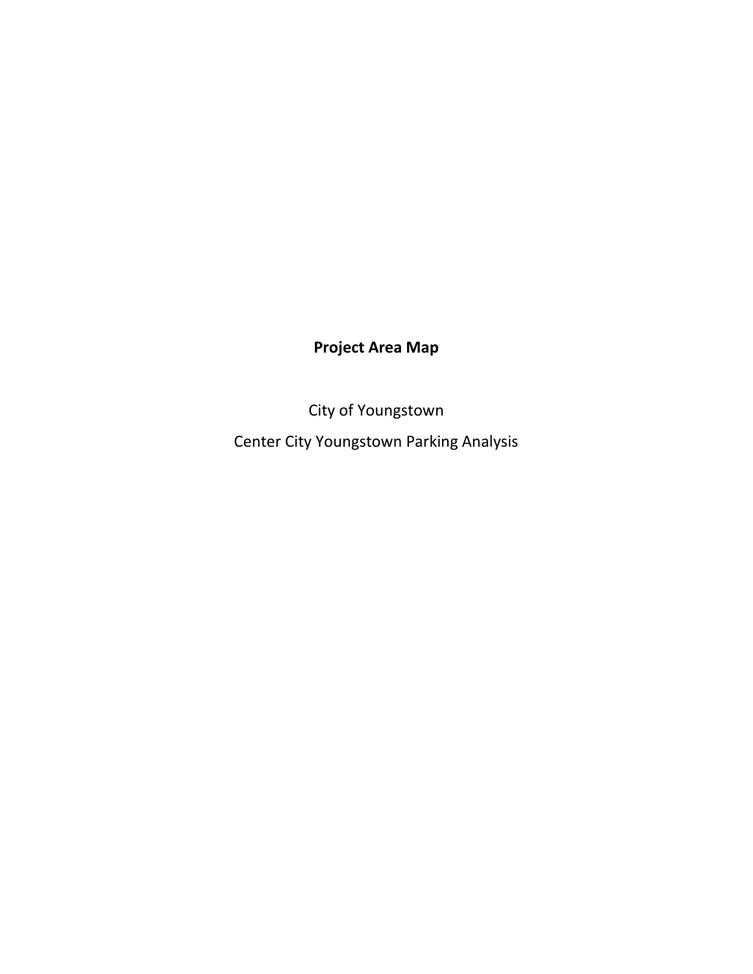# **Project Area Map**

City of Youngstown

Center City Youngstown Parking Analysis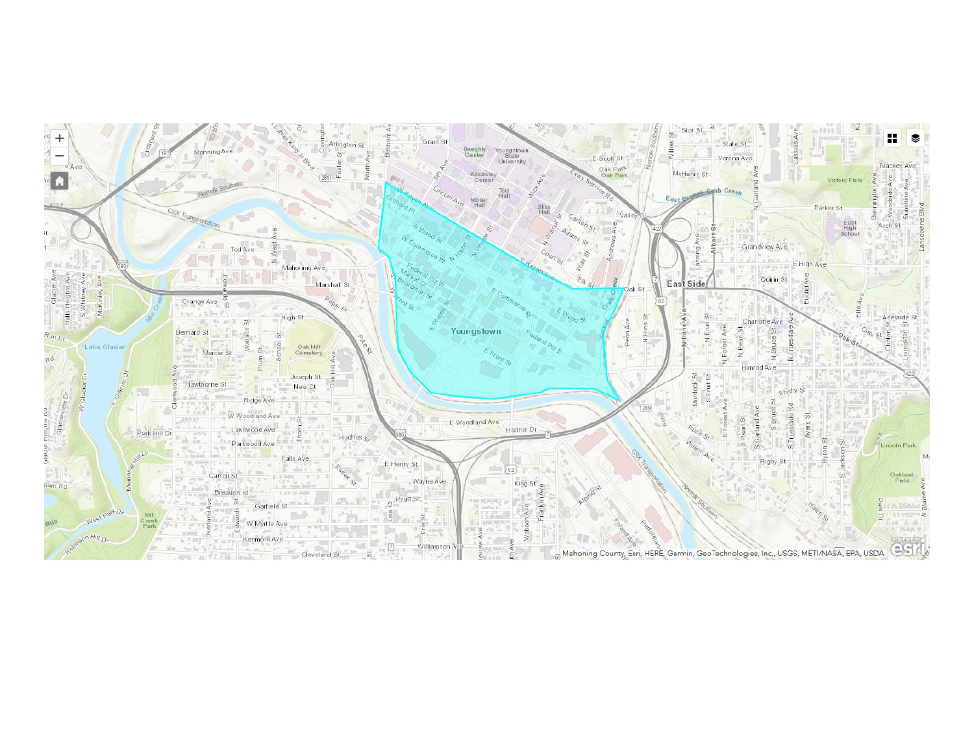